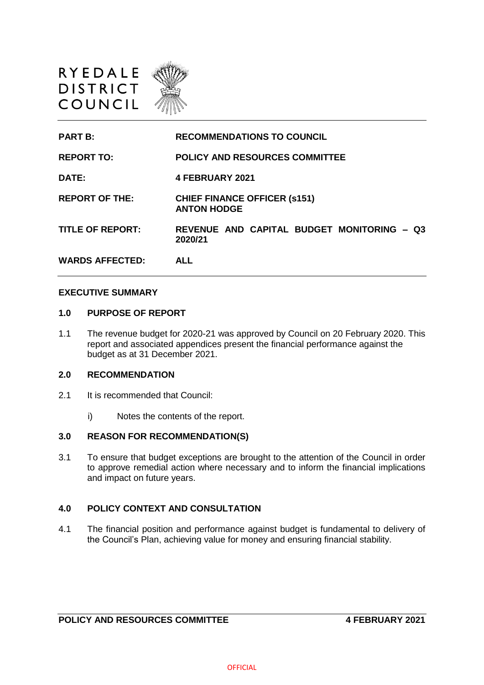

**PART B: RECOMMENDATIONS TO COUNCIL REPORT TO: POLICY AND RESOURCES COMMITTEE DATE: 4 FEBRUARY 2021 REPORT OF THE: CHIEF FINANCE OFFICER (s151) ANTON HODGE TITLE OF REPORT: REVENUE AND CAPITAL BUDGET MONITORING – Q3 2020/21 WARDS AFFECTED: ALL**

#### **EXECUTIVE SUMMARY**

#### **1.0 PURPOSE OF REPORT**

1.1 The revenue budget for 2020-21 was approved by Council on 20 February 2020. This report and associated appendices present the financial performance against the budget as at 31 December 2021.

#### **2.0 RECOMMENDATION**

- 2.1 It is recommended that Council:
	- i) Notes the contents of the report.

#### **3.0 REASON FOR RECOMMENDATION(S)**

3.1 To ensure that budget exceptions are brought to the attention of the Council in order to approve remedial action where necessary and to inform the financial implications and impact on future years.

## **4.0 POLICY CONTEXT AND CONSULTATION**

4.1 The financial position and performance against budget is fundamental to delivery of the Council's Plan, achieving value for money and ensuring financial stability.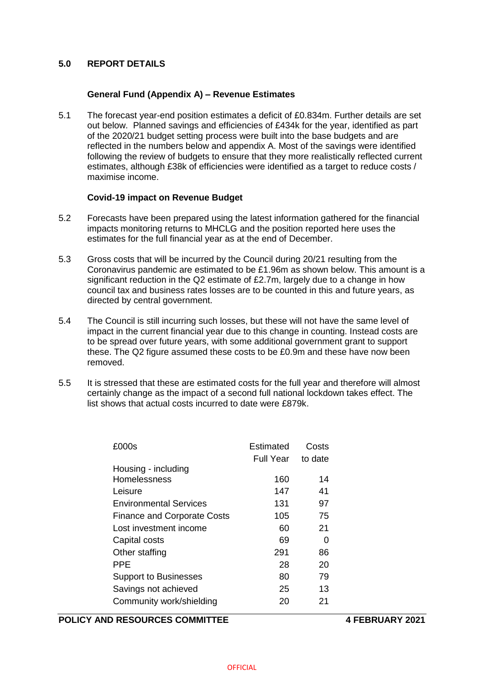# **5.0 REPORT DETAILS**

# **General Fund (Appendix A) – Revenue Estimates**

5.1 The forecast year-end position estimates a deficit of £0.834m. Further details are set out below. Planned savings and efficiencies of £434k for the year, identified as part of the 2020/21 budget setting process were built into the base budgets and are reflected in the numbers below and appendix A. Most of the savings were identified following the review of budgets to ensure that they more realistically reflected current estimates, although £38k of efficiencies were identified as a target to reduce costs / maximise income.

### **Covid-19 impact on Revenue Budget**

- 5.2 Forecasts have been prepared using the latest information gathered for the financial impacts monitoring returns to MHCLG and the position reported here uses the estimates for the full financial year as at the end of December.
- 5.3 Gross costs that will be incurred by the Council during 20/21 resulting from the Coronavirus pandemic are estimated to be £1.96m as shown below. This amount is a significant reduction in the Q2 estimate of £2.7m, largely due to a change in how council tax and business rates losses are to be counted in this and future years, as directed by central government.
- 5.4 The Council is still incurring such losses, but these will not have the same level of impact in the current financial year due to this change in counting. Instead costs are to be spread over future years, with some additional government grant to support these. The Q2 figure assumed these costs to be £0.9m and these have now been removed.
- 5.5 It is stressed that these are estimated costs for the full year and therefore will almost certainly change as the impact of a second full national lockdown takes effect. The list shows that actual costs incurred to date were £879k.

| £000s                              | Estimated        | Costs   |
|------------------------------------|------------------|---------|
|                                    | <b>Full Year</b> | to date |
| Housing - including                |                  |         |
| Homelessness                       | 160              | 14      |
| Leisure                            | 147              | 41      |
| <b>Environmental Services</b>      | 131              | 97      |
| <b>Finance and Corporate Costs</b> | 105              | 75      |
| Lost investment income             | 60               | 21      |
| Capital costs                      | 69               | 0       |
| Other staffing                     | 291              | 86      |
| PPE                                | 28               | 20      |
| <b>Support to Businesses</b>       | 80               | 79      |
| Savings not achieved               | 25               | 13      |
| Community work/shielding           | 20               | 21      |
|                                    |                  |         |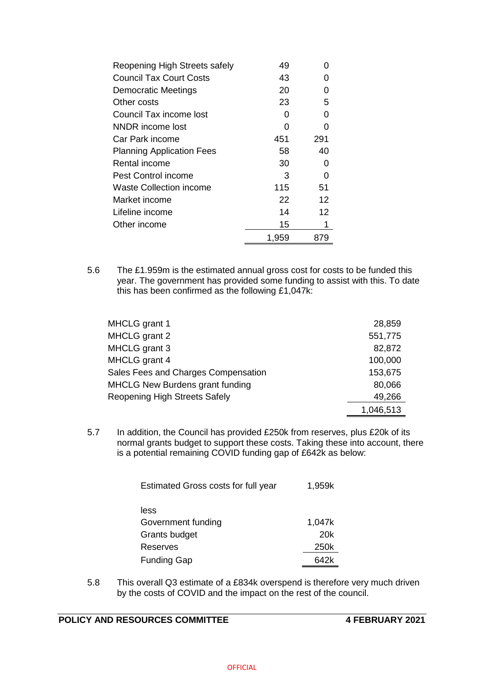| Reopening High Streets safely    | 49    |     |
|----------------------------------|-------|-----|
| <b>Council Tax Court Costs</b>   | 43    |     |
| <b>Democratic Meetings</b>       | 20    | O   |
| Other costs                      | 23    | 5   |
| Council Tax income lost          | O     | O   |
| NNDR income lost                 | O     |     |
| Car Park income                  | 451   | 291 |
| <b>Planning Application Fees</b> | 58    | 40  |
| Rental income                    | 30    | 0   |
| Pest Control income              | 3     | O   |
| <b>Waste Collection income</b>   | 115   | 51  |
| Market income                    | 22    | 12  |
| Lifeline income                  | 14    | 12  |
| Other income                     | 15    | 1   |
|                                  | 1,959 | 879 |

5.6 The £1.959m is the estimated annual gross cost for costs to be funded this year. The government has provided some funding to assist with this. To date this has been confirmed as the following £1,047k:

| MHCLG grant 1                          | 28,859    |
|----------------------------------------|-----------|
| MHCLG grant 2                          | 551,775   |
| MHCLG grant 3                          | 82,872    |
| MHCLG grant 4                          | 100,000   |
| Sales Fees and Charges Compensation    | 153,675   |
| <b>MHCLG New Burdens grant funding</b> | 80,066    |
| <b>Reopening High Streets Safely</b>   | 49,266    |
|                                        | 1,046,513 |

5.7 In addition, the Council has provided £250k from reserves, plus £20k of its normal grants budget to support these costs. Taking these into account, there is a potential remaining COVID funding gap of £642k as below:

| Estimated Gross costs for full year | 1,959k |
|-------------------------------------|--------|
| less                                |        |
| Government funding                  | 1,047k |
| Grants budget                       | 20k    |
| Reserves                            | 250k   |
| <b>Funding Gap</b>                  | 642k   |

5.8 This overall Q3 estimate of a £834k overspend is therefore very much driven by the costs of COVID and the impact on the rest of the council.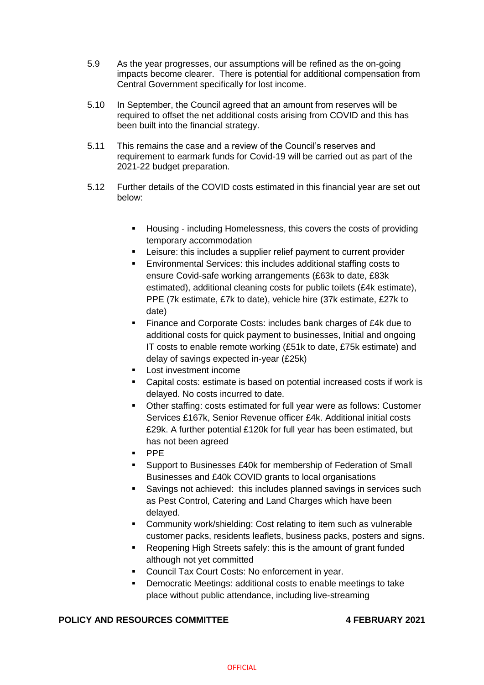- 5.9 As the year progresses, our assumptions will be refined as the on-going impacts become clearer. There is potential for additional compensation from Central Government specifically for lost income.
- 5.10 In September, the Council agreed that an amount from reserves will be required to offset the net additional costs arising from COVID and this has been built into the financial strategy.
- 5.11 This remains the case and a review of the Council's reserves and requirement to earmark funds for Covid-19 will be carried out as part of the 2021-22 budget preparation.
- 5.12 Further details of the COVID costs estimated in this financial year are set out below:
	- **Housing including Homelessness, this covers the costs of providing** temporary accommodation
	- **EXECT:** Leisure: this includes a supplier relief payment to current provider
	- Environmental Services: this includes additional staffing costs to ensure Covid-safe working arrangements (£63k to date, £83k estimated), additional cleaning costs for public toilets (£4k estimate), PPE (7k estimate, £7k to date), vehicle hire (37k estimate, £27k to date)
	- Finance and Corporate Costs: includes bank charges of £4k due to additional costs for quick payment to businesses, Initial and ongoing IT costs to enable remote working (£51k to date, £75k estimate) and delay of savings expected in-year (£25k)
	- **Lost investment income**
	- Capital costs: estimate is based on potential increased costs if work is delayed. No costs incurred to date.
	- Other staffing: costs estimated for full year were as follows: Customer Services £167k, Senior Revenue officer £4k. Additional initial costs £29k. A further potential £120k for full year has been estimated, but has not been agreed
	- PPE
	- Support to Businesses £40k for membership of Federation of Small Businesses and £40k COVID grants to local organisations
	- Savings not achieved: this includes planned savings in services such as Pest Control, Catering and Land Charges which have been delayed.
	- **EXEDENT** Community work/shielding: Cost relating to item such as vulnerable customer packs, residents leaflets, business packs, posters and signs.
	- Reopening High Streets safely: this is the amount of grant funded although not yet committed
	- Council Tax Court Costs: No enforcement in year.
	- Democratic Meetings: additional costs to enable meetings to take place without public attendance, including live-streaming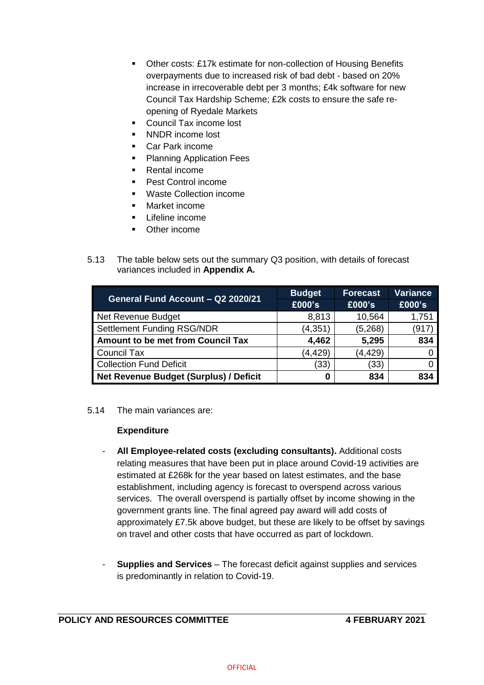- Other costs: £17k estimate for non-collection of Housing Benefits overpayments due to increased risk of bad debt - based on 20% increase in irrecoverable debt per 3 months; £4k software for new Council Tax Hardship Scheme; £2k costs to ensure the safe reopening of Ryedale Markets
- Council Tax income lost
- NNDR income lost
- Car Park income
- **Planning Application Fees**
- Rental income
- **Pest Control income**
- Waste Collection income
- Market income
- **Lifeline income**
- Other income
- 5.13 The table below sets out the summary Q3 position, with details of forecast variances included in **Appendix A.**

| General Fund Account - Q2 2020/21             | <b>Budget</b> | <b>Forecast</b> | <b>Variance</b> |
|-----------------------------------------------|---------------|-----------------|-----------------|
|                                               | £000's        | £000's          | £000's          |
| Net Revenue Budget                            | 8,813         | 10,564          | 1,751           |
| <b>Settlement Funding RSG/NDR</b>             | (4, 351)      | (5,268)         | (917            |
| <b>Amount to be met from Council Tax</b>      | 4,462         | 5,295           | 834             |
| <b>Council Tax</b>                            | (4, 429)      | (4, 429)        |                 |
| <b>Collection Fund Deficit</b>                | (33)          | (33)            |                 |
| <b>Net Revenue Budget (Surplus) / Deficit</b> |               | 834             | 834             |

# 5.14 The main variances are:

# **Expenditure**

- **All Employee-related costs (excluding consultants).** Additional costs relating measures that have been put in place around Covid-19 activities are estimated at £268k for the year based on latest estimates, and the base establishment, including agency is forecast to overspend across various services. The overall overspend is partially offset by income showing in the government grants line. The final agreed pay award will add costs of approximately £7.5k above budget, but these are likely to be offset by savings on travel and other costs that have occurred as part of lockdown.
- **Supplies and Services** The forecast deficit against supplies and services is predominantly in relation to Covid-19.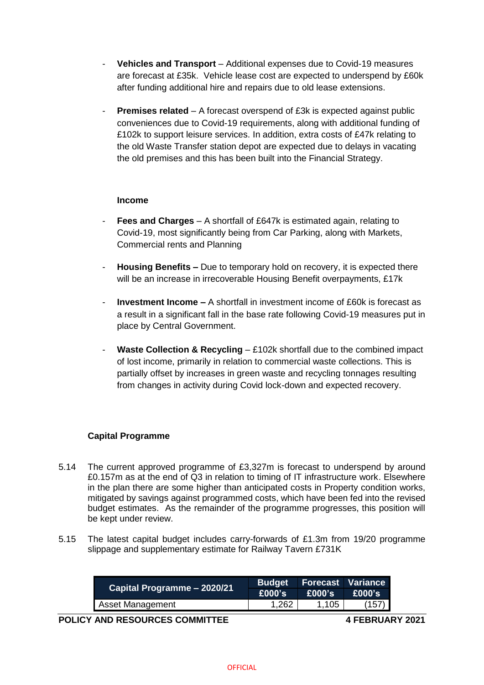- **Vehicles and Transport** Additional expenses due to Covid-19 measures are forecast at £35k. Vehicle lease cost are expected to underspend by £60k after funding additional hire and repairs due to old lease extensions.
- **Premises related** A forecast overspend of £3k is expected against public conveniences due to Covid-19 requirements, along with additional funding of £102k to support leisure services. In addition, extra costs of £47k relating to the old Waste Transfer station depot are expected due to delays in vacating the old premises and this has been built into the Financial Strategy.

# **Income**

- **Fees and Charges** A shortfall of £647k is estimated again, relating to Covid-19, most significantly being from Car Parking, along with Markets, Commercial rents and Planning
- **Housing Benefits –** Due to temporary hold on recovery, it is expected there will be an increase in irrecoverable Housing Benefit overpayments, £17k
- **Investment Income –** A shortfall in investment income of £60k is forecast as a result in a significant fall in the base rate following Covid-19 measures put in place by Central Government.
- **Waste Collection & Recycling £102k shortfall due to the combined impact** of lost income, primarily in relation to commercial waste collections. This is partially offset by increases in green waste and recycling tonnages resulting from changes in activity during Covid lock-down and expected recovery.

# **Capital Programme**

- 5.14 The current approved programme of £3,327m is forecast to underspend by around £0.157m as at the end of Q3 in relation to timing of IT infrastructure work. Elsewhere in the plan there are some higher than anticipated costs in Property condition works, mitigated by savings against programmed costs, which have been fed into the revised budget estimates. As the remainder of the programme progresses, this position will be kept under review.
- 5.15 The latest capital budget includes carry-forwards of £1.3m from 19/20 programme slippage and supplementary estimate for Railway Tavern £731K

| Capital Programme – 2020/21 |          |        | Budget Forecast Variance |
|-----------------------------|----------|--------|--------------------------|
|                             | E000's ! | E000's | $E000$ 's                |
| Asset Management            | 1.262    | 1,105  | (157)                    |